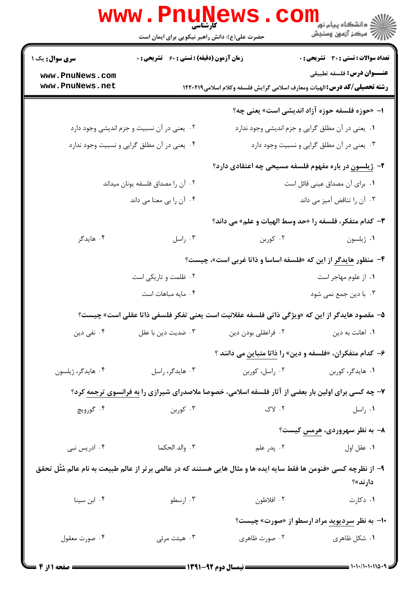|                                    | <b>www.PnuNews</b>                                 | اران دانشگاه پيام نور<br>اراض عرکز آزمون وسنجش |                                                                                                                               |  |
|------------------------------------|----------------------------------------------------|------------------------------------------------|-------------------------------------------------------------------------------------------------------------------------------|--|
|                                    | حضرت علی(ع): دانش راهبر نیکویی برای ایمان است      |                                                |                                                                                                                               |  |
| سری سوال: یک ۱                     | <b>زمان آزمون (دقیقه) : تستی : 60 ٪ تشریحی : 0</b> |                                                | <b>تعداد سوالات : تستی : 30 ٪ تشریحی : 0</b>                                                                                  |  |
| www.PnuNews.com<br>www.PnuNews.net |                                                    |                                                | <b>عنـــوان درس:</b> فلسفه تطبيقي<br><b>رشته تحصیلی/کد درس:</b> الهیات ومعارف اسلامی گرایش فلسفه وکلام اسلامی1۲۲۰۲۱۹          |  |
|                                    |                                                    |                                                | ا- «حوزه فلسفه حوزه آزاد اندیشی است» یعنی چه؟                                                                                 |  |
|                                    | ۰۲ یعنی در آن نسبیت و جزم اندیشی وجود دارد         |                                                | ٠١. يعني در آن مطلق گرايي و جزم انديشي وجود ندارد                                                                             |  |
|                                    | ۰۴ یعنی در آن مطلق گرایی و نسبیت وجود ندارد        | ۰۳ یعنی در آن مطلق گرایی و نسبیت وجود دارد     |                                                                                                                               |  |
|                                    |                                                    |                                                | ۲- ژیلسون در باره مفهوم فلسفه مسیحی چه اعتقادی دارد؟                                                                          |  |
|                                    | ۰۲ آن را مصداق فلسفه یونان میداند                  | ٠. براى آن مصداق عينى قائل است                 |                                                                                                                               |  |
|                                    | ۰۴ آن را بي معنا مي داند                           |                                                | ۰۳ آن را تناقض آمیز می داند                                                                                                   |  |
|                                    |                                                    |                                                | ٣- كدام متفكر، فلسفه را «حد وسط الهيات و علم» مي داند؟                                                                        |  |
| ۰۴ هايدگر                          | ۰۳ راسل                                            | ۰۲ کوربن                                       | ٠١ ژيلسون                                                                                                                     |  |
|                                    |                                                    |                                                | ۴- منظور هایدگر از این که «فلسفه اساسا و ذاتا غربی است»، چیست؟                                                                |  |
|                                    | ۰۲ ظلمت و تاریکی است                               |                                                | ۰۱ از علوم مهاجر است                                                                                                          |  |
|                                    | ۰۴ مایه مباهات است                                 |                                                | ۰۳ با دین جمع نمی شود                                                                                                         |  |
|                                    |                                                    |                                                | ۵– مقصود هایدگر از این که «ویژگی ذاتی فلسفه عقلانیت است یعنی تفکر فلسفی ذاتا عقلی است» چیست؟                                  |  |
| ۰۴ نفی دین                         | ۰۳ ضدیت دین با عقل                                 | ٠٢ فراعقلي بودن دين                            | ۰۱ اهانت به دین                                                                                                               |  |
|                                    |                                                    |                                                | ۶- کدام متفکران، «فلسفه و دین» را <mark>ذاتا متباین</mark> می دانند ؟                                                         |  |
| ۰۴ هايدگر، ژيلسون                  | ۰۳ هايدگر، راسل                                    | ۰۲ راسل، کوربن                                 | ۰۱ هایدگر، کوربن                                                                                                              |  |
|                                    |                                                    |                                                | <b>۷</b> - چه کسی برای اولین بار بعضی از آثار فلسفه اسلامی، خصوصا ملاصدرای شیرازی را به فرانسوی ترجمه کرد؟                    |  |
| ۰۴ گورويچ                          | ۰۳ کوربن                                           | $Y \cdot Y$                                    | ۰۱ راسل                                                                                                                       |  |
|                                    |                                                    |                                                | ۸– به نظر سهروردی، هرمس کیست؟                                                                                                 |  |
| ۰۴ ادریس نبی                       | ۰۳ والد الحکما                                     | ۰۲ پدر علم                                     | ٠١ عقل اول                                                                                                                    |  |
|                                    |                                                    |                                                | ۹– از نظرچه کسی «فنومن ها فقط سایه ایده ها و مثال هایی هستند که در عالمی برتر از عالم طبیعت به نام عالم مُثَل تحقق<br>دارند»؟ |  |
| ۰۴ ابن سینا                        | ۰۳ ارسطو                                           | ۰۲ افلاطون                                     | ۰۱ دکارت                                                                                                                      |  |
|                                    |                                                    |                                                | <b>۰۱-</b> به نظر <u>سردیوید</u> مراد ارسطو از «صورت» چیست؟                                                                   |  |
| ۰۴ صورت معقول                      | ۰۳ هیئت مرئی                                       | ۰۲ صورت ظاهری                                  | ۰۱ شکل ظاهری                                                                                                                  |  |
|                                    |                                                    |                                                |                                                                                                                               |  |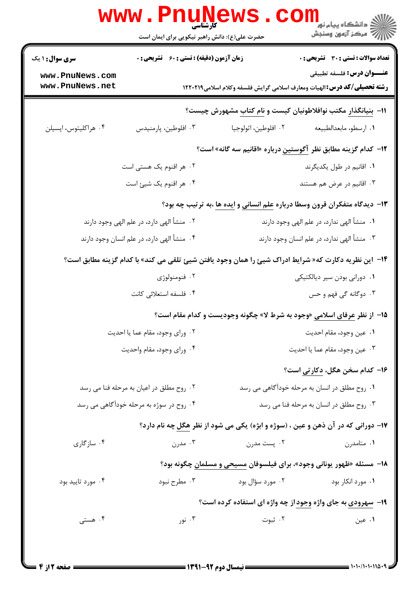| <b>سری سوال : ۱ یک</b>                                                                    | زمان آزمون (دقیقه) : تستی : 60 ٪ تشریحی : 0                                               |                                                                                                       | <b>تعداد سوالات : تستی : 30 ٪ تشریحی : 0</b>                                                                  |  |
|-------------------------------------------------------------------------------------------|-------------------------------------------------------------------------------------------|-------------------------------------------------------------------------------------------------------|---------------------------------------------------------------------------------------------------------------|--|
| www.PnuNews.com<br>www.PnuNews.net                                                        |                                                                                           |                                                                                                       | عنـــوان درس: فلسفه تطبيقي<br><b>رشته تحصیلی/کد درس:</b> الهیات ومعارف اسلامی گرایش فلسفه وکلام اسلامی۱۲۲۰۲۱۹ |  |
|                                                                                           |                                                                                           | ۱۱− بنیانگذار مکتب نوافلاطونیان کیست و نام کتاب مشهورش چیست؟                                          |                                                                                                               |  |
| ۰۴ هراكليتوس، اپسيلن                                                                      | ۰۳ افلوطین، پارمنیدس                                                                      | ٠٢ افلوطين، اثولوجيا                                                                                  | ٠١ ارسطو، مابعدالطبيعه                                                                                        |  |
|                                                                                           |                                                                                           | ۱۲–  کدام گزینه مطابق نظر ِ آگوستین درباره «اقانیم سه گانه» است؟                                      |                                                                                                               |  |
|                                                                                           | ۰۲ هر اقنوم یک هستی است                                                                   | ۰۱ اقانیم در طول یکدیگرند                                                                             |                                                                                                               |  |
|                                                                                           | ۰۴ هر اقنوم یک شیئ است                                                                    | ۰۳ اقانیم در عرض هم هستند                                                                             |                                                                                                               |  |
|                                                                                           |                                                                                           | ۱۳- دیدگاه متفکران قرون وسطا درباره علم انسانی و ایده ها ،به ترتیب چه بود؟                            |                                                                                                               |  |
| ۰۲ منشأ الهي دارد، در علم الهي وجود دارند                                                 |                                                                                           |                                                                                                       | ٠١. منشأ الهي ندارد، در علم الهي وجود دارند                                                                   |  |
| ۰۳ منشأ الهي ندارد، در علم انسان وجود دارند<br>۰۴ منشأ الهي دارد، در علم انسان وجود دارند |                                                                                           |                                                                                                       |                                                                                                               |  |
|                                                                                           |                                                                                           | 1۴–  این نظریه دکارت که« شرایط ادراک شیئ را همان وجود یافتن شیئ تلقی می کند» با کدام گزینه مطابق است؟ |                                                                                                               |  |
|                                                                                           | ۰۲ فنومنولوژی                                                                             | ۰۱ دورانی بودن سیر دیالکتیکی                                                                          |                                                                                                               |  |
|                                                                                           | ۰۴ فلسفه استعلائی کانت                                                                    |                                                                                                       | ۰۳ دوگانه گی فهم و حس                                                                                         |  |
|                                                                                           |                                                                                           | ۱۵- از نظر عرفای اسلامی «وجود به شرط لا» چگونه وجودیست و کدام مقام است؟                               |                                                                                                               |  |
|                                                                                           | ٠٢ وراي وجود، مقام عما يا احديت<br>٠١ عين وجود، مقام احديت                                |                                                                                                       |                                                                                                               |  |
| ۰۴ ورای وجود، مقام واحدیت                                                                 |                                                                                           | ٠٣ عين وجود، مقام عما يا احديت                                                                        |                                                                                                               |  |
|                                                                                           |                                                                                           |                                                                                                       | ۱۶– کدام سخن هگل، <u>دکارتی</u> است؟                                                                          |  |
|                                                                                           | ۰۱ روح مطلق در انسان به مرحله خودآگاهی می رسد<br>۰۲ روح مطلق در اعیان به مرحله فنا می رسد |                                                                                                       |                                                                                                               |  |
|                                                                                           | ۰۴ روح در سوژه به مرحله خودآگاهی می رسد                                                   | ۰۳ روح مطلق در انسان به مرحله فنا می رسد                                                              |                                                                                                               |  |
|                                                                                           |                                                                                           | ۱۷- دورانی که در آن ذهن و عین ، (سوژه و ابژه) یکی می شود از نظر هگل چه نام دارد؟                      |                                                                                                               |  |
| ۰۴ سازگاری                                                                                | ۰۳ مدرن                                                                                   | ۰۲ پست مدرن                                                                                           | ۰۱ متامدرن                                                                                                    |  |
|                                                                                           |                                                                                           | ۱۸- مسئله «ظهور یونانی وجود»، برای فیلسوفان مسیحی و مسلمان چگونه بود؟                                 |                                                                                                               |  |
| ۰۴ مورد تاييد بود                                                                         | ۰۳ مطرح نبود                                                                              | ۰۲ مورد سؤال بود                                                                                      | ۰۱ مورد انکار بود                                                                                             |  |
|                                                                                           |                                                                                           | ۱۹- سهرودی به جای واژه وجود از چه واژه ای استفاده کرده است؟                                           |                                                                                                               |  |
| ۰۴ هستی                                                                                   | ۰۳ نور                                                                                    | ۰۲ ثبوت                                                                                               | ۰۱ عین                                                                                                        |  |

**= نیمسال دوم ۹۲-۱۳۹۱ <del>-</del>** 

 $= 1.11/(1.1110.49)$ 

صفحه 2 از 4 =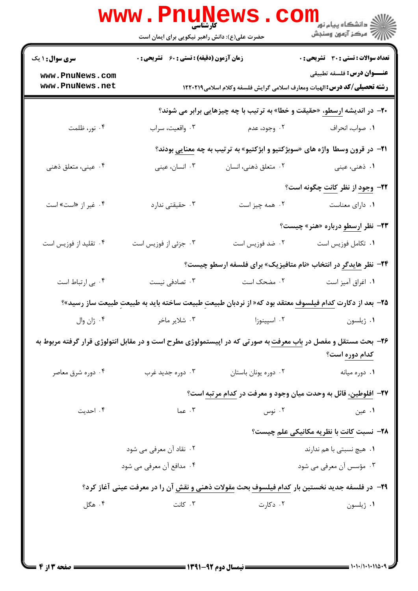| تعداد سوالات : تستي : 30 - تشريحي : 0                                                                                | زمان آزمون (دقیقه) : تستی : 60 گشریحی : 0 |                                    | <b>سری سوال : ۱ یک</b>                                                                                                |
|----------------------------------------------------------------------------------------------------------------------|-------------------------------------------|------------------------------------|-----------------------------------------------------------------------------------------------------------------------|
| <b>عنـــوان درس:</b> فلسفه تطبيقي<br><b>رشته تحصیلی/کد درس:</b> الهیات ومعارف اسلامی گرایش فلسفه وکلام اسلامی1۲۲۰۲۱۹ |                                           | www.PnuNews.com<br>www.PnuNews.net |                                                                                                                       |
| <b>-۲-</b> در اندیشه ارسطو، «حقیقت و خطا» به ترتیب با چه چیزهایی برابر می شوند؟                                      |                                           |                                    |                                                                                                                       |
| ٠١. صواب، انحراف                                                                                                     | ۰۲ وجود، عدم                              | ۰۳ واقعیت، سراب                    | ۰۴ نور، ظلمت                                                                                                          |
| <b>۲۱</b> - در قرون وسطا واژه های «سوبژکتیو و ابژکتیو» به ترتیب به چه <u>معنایی</u> بودند؟                           |                                           |                                    |                                                                                                                       |
| ۰۱ ذهنی، عینی                                                                                                        | ۰۲ متعلق ذهني، انسان                      | ۰۳ انسان، عینی                     | ۰۴ عینی، متعلق ذهنی                                                                                                   |
| <b>۲۲- وجود از نظر <u>کانت</u> چگونه است</b> ؟                                                                       |                                           |                                    |                                                                                                                       |
| ۰۱ دارای معناست                                                                                                      | ۰۲ همه چیز است                            | ۰۳ حقیقتی ندارد                    | ۰۴ غیر از «است» است                                                                                                   |
| <b>۲۳</b> - نظر <u>ارسطو</u> درباره «هنر» چیست؟                                                                      |                                           |                                    |                                                                                                                       |
| ٠١. تكامل فوزيس است                                                                                                  | ۰۲ ضد فوزیس است                           | ۰۳ جزئی از فوزیس است               | ۰۴ تقلید از فوزیس است                                                                                                 |
| <b>۲۴</b> - نظر هایدگر در انتخاب «نام متافیزیک» برای فلسفه ارسطو چیست؟                                               |                                           |                                    |                                                                                                                       |
| ٠١ اغراق آميز است                                                                                                    | ۰۲ مضحک است                               | ۰۳ تصادفی نیست                     | ۰۴ بی ارتباط است                                                                                                      |
| ۲۵– بعد از دکارت <u>کدام فیلسوف</u> معتقد بود که« از نردبان طبیعت طبیعت ساخته باید به طبیعت طبیعت ساز رسید»؟         |                                           |                                    |                                                                                                                       |
| ۰۱ ژیلسون                                                                                                            | ۰۲ اسپینوزا                               | ۰۳ شلایر ماخر                      | ۰۴ ژان وال                                                                                                            |
| کدام دوره است؟                                                                                                       |                                           |                                    | <b>۲۶</b> - بحث مستقل و مفصل در باب معرفت به صورتی که در اپیستمولوژی مطرح است و در مقابل انتولوژی قرار گرفته مربوط به |
| ٠١ دوره ميانه                                                                                                        | ۰۲ دوره یونان باستان                      | ۰۳ دوره جدید غرب                   | ۰۴ دوره شرق معاصر                                                                                                     |
| ۲۷– افلوطین، قائل به وحدت میان وجود و معرفت در کدام مرتبه است؟                                                       |                                           |                                    |                                                                                                                       |
| ۰۱ عین                                                                                                               | ۰۲ نوس                                    | ۰۳ عما                             | ۰۴ احدیت                                                                                                              |
| <b>۳۸</b> - نسبت کانت با نظریه مکانیکی علمِ چیست؟                                                                    |                                           |                                    |                                                                                                                       |
| ۰۱ هیچ نسبتی با هم ندارند                                                                                            |                                           | ۲. نقاد آن معرفی می شود            |                                                                                                                       |
| ۰۳ مؤسس آن معرفی می شود                                                                                              |                                           | ۰۴ مدافع آن معرفی می شود           |                                                                                                                       |
| ۲۹- در فلسفه جدید نخستین بار کدام فیلسوف بحث مقولات ذهنی و نقش آن را در معرفت عینی آغاز کرد؟                         |                                           |                                    |                                                                                                                       |
| ۰۱ ژیلسون                                                                                                            | ۰۲ دکارت                                  | ۰۳ کانت                            | ۰۴ هگل                                                                                                                |